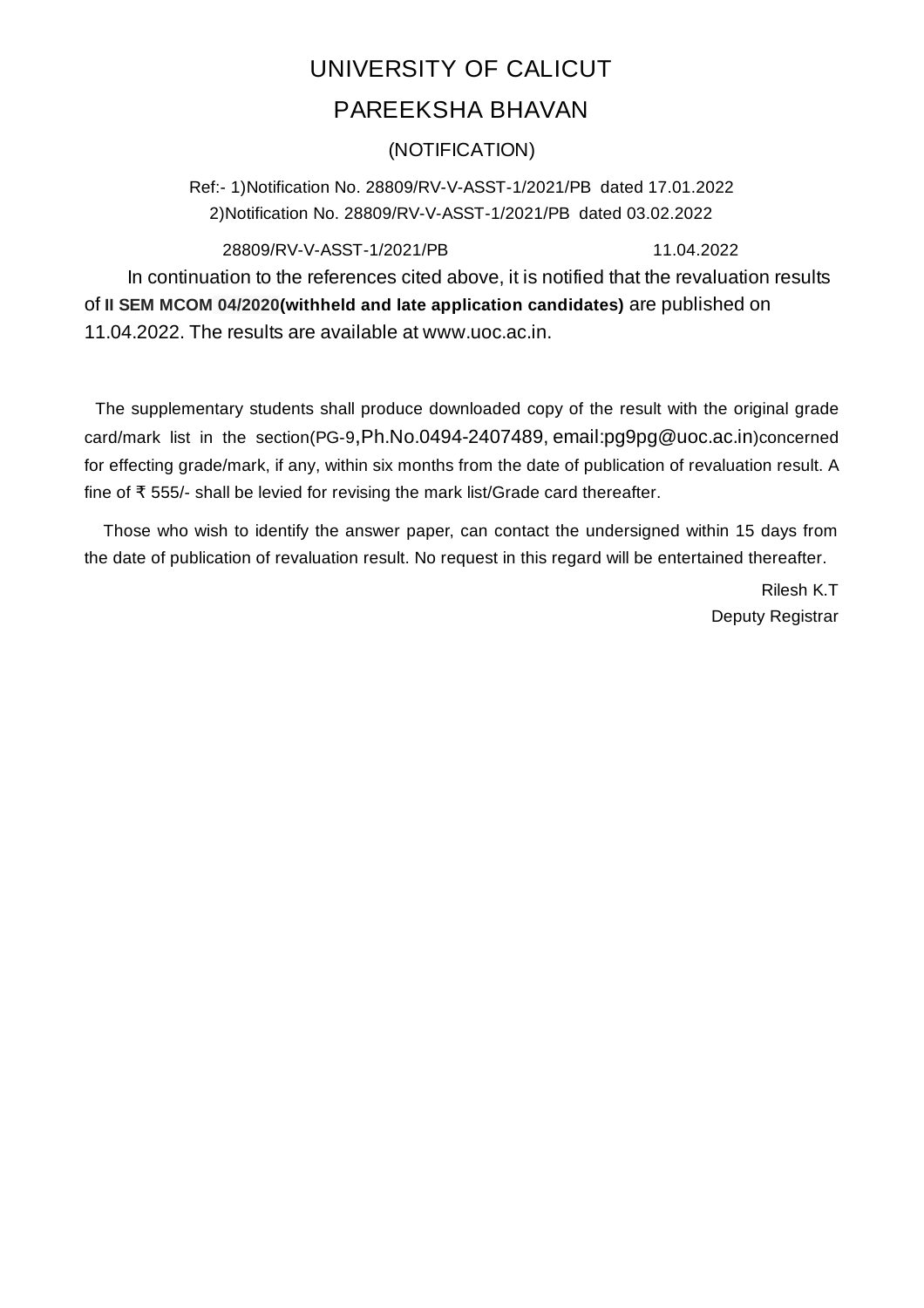## UNIVERSITY OF CALICUT PAREEKSHA BHAVAN

## (NOTIFICATION)

Ref:- 1)Notification No. 28809/RV-V-ASST-1/2021/PB dated 17.01.2022 2)Notification No. 28809/RV-V-ASST-1/2021/PB dated 03.02.2022

28809/RV-V-ASST-1/2021/PB 11.04.2022

In continuation to the references cited above, it is notified that the revaluation results of **II SEM MCOM 04/2020(withheld and late application candidates)** are published on 11.04.2022. The results are available at www.uoc.ac.in.

The supplementary students shall produce downloaded copy of the result with the original grade card/mark list in the section(PG-9,Ph.No.0494-2407489, email:pg9pg@uoc.ac.in)concerned for effecting grade/mark, if any, within six months from the date of publication of revaluation result. A fine of ₹ 555/- shall be levied for revising the mark list/Grade card thereafter.

Those who wish to identify the answer paper, can contact the undersigned within 15 days from the date of publication of revaluation result. No request in this regard will be entertained thereafter.

> Rilesh K.T Deputy Registrar